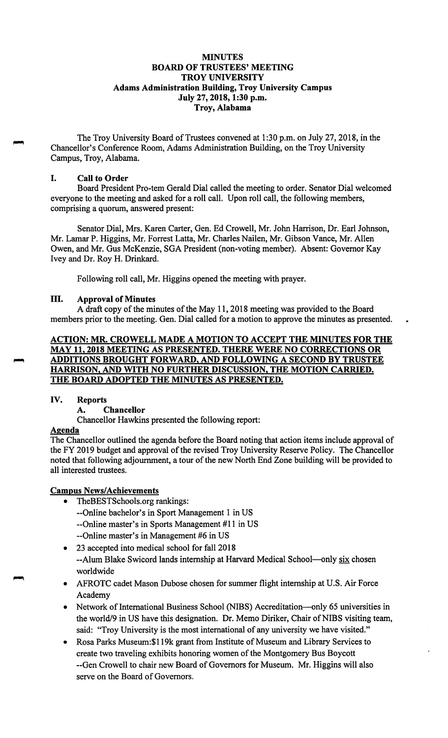## **MINUTES BOARD OF TRUSTEES' MEETING TROY UNIVERSITY Adams Administration Building, Troy University Campus July 27, 2018, 1:30 p.m. Troy, Alabama**

The Troy University Board of Trustees convened at 1:30 p.m. on July 27, 2018, in the Chancellor's Conference Room, Adams Administration Building, on the Troy University Campus, Troy, Alabama.

#### I. **Call to Order**

Board President Pro-tern Gerald Dial called the meeting to order. Senator Dial welcomed everyone to the meeting and asked for a roll call. Upon roll call, the following members, comprising a quorum, answered present:

Senator Dial, Mrs. Karen Carter, Gen. Ed Crowell, Mr. John Harrison, Dr. Earl Johnson, Mr. Lamar P. Higgins, Mr. Forrest Latta, Mr. Charles Nailen, Mr. Gibson Vance, Mr. Allen Owen, and Mr. Gus McKenzie, SGA President (non-voting member). Absent: Governor Kay Ivey and Dr. Roy H. Drinkard.

Following roll call, Mr. Higgins opened the meeting with prayer.

## III. **Approval of Minutes**

A draft copy of the minutes of the May 11, 2018 meeting was provided to the Board members prior to the meeting. Gen. Dial called for a motion to approve the minutes as presented.

## **ACTION: MR. CROWELL MADE A MOTION TO ACCEPT THE MINUTES FOR THE MAY 11, 2018 MEETING AS PRESENTED. THERE WERE NO CORRECTIONS OR ADDITIONS BROUGHT FORWARD, AND FOLLOWING A SECOND BY TRUSTEE HARRISON, AND WITH NO FURTHER DISCUSSION, THE MOTION CARRIED. THE BOARD ADOPTED THE MINUTES AS PRESENTED.**

#### **IV. Reports**

## **A. Chancellor**

Chancellor Hawkins presented the following report:

## **Agenda**

The Chancellor outlined the agenda before the Board noting that action items include approval of the FY 2019 budget and approval of the revised Troy University Reserve Policy. The Chancellor noted that following adjournment, a tour of the new North End Zone building will be provided to all interested trustees.

## **Campus News/Achievements**

- [TheBESTSchools.org](https://TheBESTSchools.org) rankings:
	- --Online bachelor's in Sport Management 1 in US
	- --Online master's in Sports Management #11 in US
	- --Online master's in Management #6 in US
- 23 accepted into medical school for fall 2018
- --Alum Blake Swicord lands internship at Harvard Medical School-only six chosen worldwide
- AFROTC cadet Mason Dubose chosen for summer flight internship at U.S. Air Force Academy
- Network of International Business School (NIBS) Accreditation-only 65 universities in the world/9 in US have this designation. Dr. Memo Diriker, Chair of NIBS visiting team, said: "Troy University is the most international of any university we have visited."
- Rosa Parks Museum:\$ l 19k grant from Institute of Museum and Library Services to create two traveling exhibits honoring women of the Montgomery Bus Boycott --Gen Crowell to chair new Board of Governors for Museum. Mr. Higgins will also serve on the Board of Governors.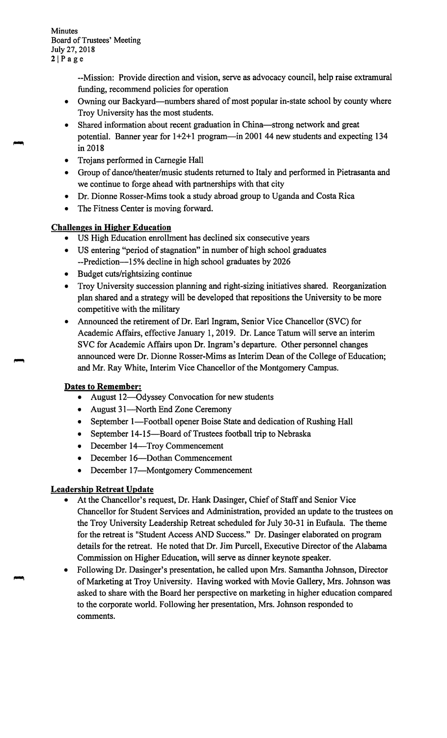Minutes Board of Trustees' Meeting July 27, 2018  $2|Page$ 

> --Mission: Provide direction and vision, serve as advocacy council, help raise extramural funding, recommend policies for operation

- Owning our Backyard—numbers shared of most popular in-state school by county where Troy University has the most students.
- Shared information about recent graduation in China-strong network and great potential. Banner year for  $1+2+1$  program—in 2001 44 new students and expecting 134 in 2018
- Trojans performed in Carnegie Hall
- Group of dance/theater/music students returned to Italy and performed in Pietrasanta and we continue to forge ahead with partnerships with that city
- Dr. Dionne Rosser-Mims took a study abroad group to Uganda and Costa Rica
- The Fitness Center is moving forward.

# **Challenges in Higher Education**

- US High Education enrollment has declined six consecutive years
- US entering "period of stagnation" in number of high school graduates --Prediction-15% decline in high school graduates by 2026
- Budget cuts/rightsizing continue
- Troy University succession planning and right-sizing initiatives shared. Reorganization plan shared and a strategy will be developed that repositions the University to be more competitive with the military
- Announced the retirement of Dr. Earl Ingram, Senior Vice Chancellor (SVC) for Academic Affairs, effective January 1, 2019. Dr. Lance Tatum will serve an interim SVC for Academic Affairs upon Dr. Ingram's departure. Other personnel changes announced were Dr. Dionne Rosser-Mims as Interim Dean of the College of Education; and Mr. Ray White, Interim Vice Chancellor of the Montgomery Campus.

# **Dates to Remember:**

- August 12-Odyssey Convocation for new students
- August 31-North End Zone Ceremony
- September 1—Football opener Boise State and dedication of Rushing Hall
- September 14-15-Board of Trustees football trip to Nebraska
- December 14—Troy Commencement
- December 16-Dothan Commencement
- December 17-Montgomery Commencement

# **Leadership Retreat Update**

- At the Chancellor's request, Dr. Hank Dasinger, Chief of Staff and Senior Vice Chancellor for Student Services and Administration, provided an update to the trustees on the Troy University Leadership Retreat scheduled for July 30-31 in Eufaula. The theme for the retreat is "Student Access AND Success." Dr. Dasinger elaborated on program details for the retreat. He noted that Dr. Jim Purcell, Executive Director of the Alabama Commission on Higher Education, will serve as dinner keynote speaker.
- Following Dr. Dasinger's presentation, he called upon Mrs. Samantha Johnson, Director of Marketing at Troy University. Having worked with Movie Gallery, Mrs. Johnson was asked to share with the Board her perspective on marketing in higher education compared to the corporate world. Following her presentation, Mrs. Johnson responded to comments.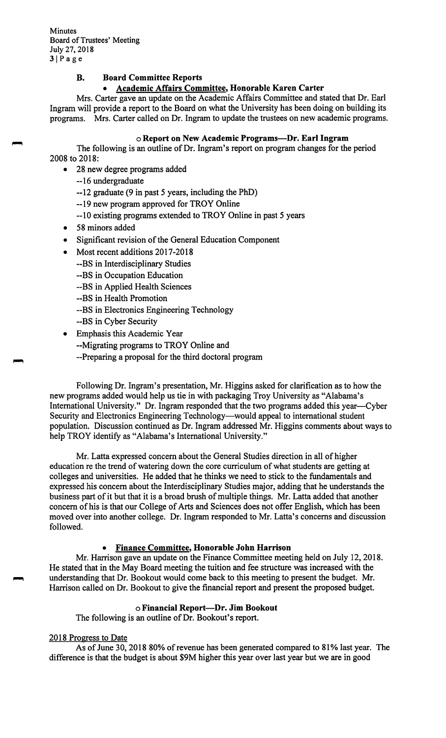**Minutes** Board of Trustees' Meeting July 27, 2018  $3|Page$ 

## **B. Board Committee Reports**

#### • **Academic Affairs Committee, Honorable Karen Carter**

Mrs. Carter gave an update on the Academic Affairs Committee and stated that Dr. Earl Ingram will provide a report to the Board on what the University has been doing on building its programs. Mrs. Carter called on Dr. Ingram to update the trustees on new academic programs.

#### o **Report on New Academic Programs-Dr. Earl Ingram**

The following is an outline of Dr. Ingram's report on program changes for the period 2008 to 2018:

- 28 new degree programs added
	- --16 undergraduate
	- --12 graduate (9 in past *5* years, including the PhD)
	- --19 new program approved for TROY Online
	- --10 existing programs extended to TROY Online in past 5 years
- 58 minors added
- Significant revision of the General Education Component
- Most recent additions 2017-2018
	- --BS in Interdisciplinary Studies
	- --BS in Occupation Education
	- --BS in Applied Health Sciences
	- --BS in Health Promotion
	- --BS in Electronics Engineering Technology
	- --BS in Cyber Security
	- Emphasis this Academic Year
		- --Migrating programs to TROY Online and
		- --Preparing a proposal for the third doctoral program

Following Dr. Ingram's presentation, Mr. Higgins asked for clarification as to how the new programs added would help us tie in with packaging Troy University as "Alabama's International University." Dr. Ingram responded that the two programs added this year—Cyber Security and Electronics Engineering Technology—would appeal to international student population. Discussion continued as Dr. Ingram addressed Mr. Higgins comments about ways to help TROY identify as "Alabama's International University."

Mr. Latta expressed concern about the General Studies direction in all of higher education re the trend of watering down the core curriculum of what students are getting at colleges and universities. He added that he thinks we need to stick to the fundamentals and expressed his concern about the Interdisciplinary Studies major, adding that he understands the business part of it but that it is a broad brush of multiple things. Mr. Latta added that another concern of his is that our College of Arts and Sciences does not offer English, which has been moved over into another college. Dr. Ingram responded to Mr. Latta's concerns and discussion followed.

## • **Finance Committee, Honorable John Harrison**

Mr. Harrison gave an update on the Finance Committee meeting held on July 12, 2018. He stated that in the May Board meeting the tuition and fee structure was increased with the understanding that Dr. Bookout would come back to this meeting to present the budget. Mr. Harrison called on Dr. Bookout to give the financial report and present the proposed budget.

#### o **Financial Report-Dr. Jim Bookout**

The following is an outline of Dr. Bookout's report.

#### 2018 Progress to Date

As of June 30, 2018 80% of revenue has been generated compared to 81% last year. The difference is that the budget is about \$9M higher this year over last year but we are in good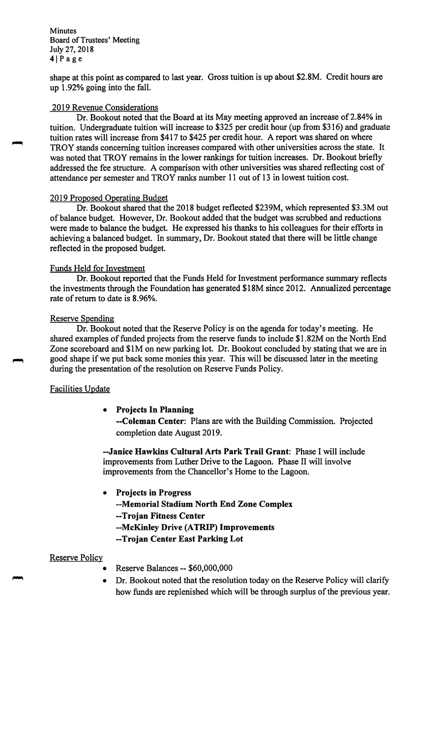**Minutes** Board of Trustees' Meeting July 27, 2018  $4|Page$ 

shape at this point as compared to last year. Gross tuition is up about \$2.8M. Credit hours are up 1.92% going into the fall.

#### 2019 Revenue Considerations

Dr. Bookout noted that the Board at its May meeting approved an increase of 2.84% in tuition. Undergraduate tuition will increase to \$325 per credit hour (up from \$316) and graduate tuition rates will increase from \$417 to \$425 per credit hour. A report was shared on where TROY stands concerning tuition increases compared with other universities across the state. It was noted that TROY remains in the lower rankings for tuition increases. Dr. Bookout briefly addressed the fee structure. A comparison with other universities was shared reflecting cost of attendance per semester and TROY ranks number 11 out of 13 in lowest tuition cost.

#### 2019 Proposed Operating Budget

Dr. Bookout shared that the 2018 budget reflected \$239M, which represented \$3.3M out of balance budget. However, Dr. Bookout added that the budget was scrubbed and reductions were made to balance the budget. He expressed his thanks to his colleagues for their efforts in achieving a balanced budget. In summary, Dr. Bookout stated that there will be little change reflected in the proposed budget.

#### Funds Held for Investment

Dr. Bookout reported that the Funds Held for Investment performance summary reflects the investments through the Foundation has generated \$18M since 2012. Annualized percentage rate of return to date is 8.96%.

#### Reserve Spending

Dr. Bookout noted that the Reserve Policy is on the agenda for today's meeting. He shared examples of funded projects from the reserve funds to include \$1.82M on the North End Zone scoreboard and \$IM on new parking lot. Dr. Bookout concluded by stating that we are in good shape if we put back some monies this year. This will be discussed later in the meeting during the presentation of the resolution on Reserve Funds Policy.

## Facilities Update

## • **Projects In Planning**

**--Coleman Center:** Plans are with the Building Commission. Projected completion date August 2019.

**--Janice Hawkins Cultural Arts Park Trail Grant:** Phase I will include improvements from Luther Drive to the Lagoon. Phase II will involve improvements from the Chancellor's Home to the Lagoon.

• **Projects in Progress --Memorial Stadium North End Zone Complex --Trojan Fitness Center --McKinley Drive (ATRIP) Improvements --Trojan Center East Parking Lot** 

## Reserve Policy

- Reserve Balances -- \$60,000,000
- Dr. Bookout noted that the resolution today on the Reserve Policy will clarify how funds are replenished which will be through surplus of the previous year.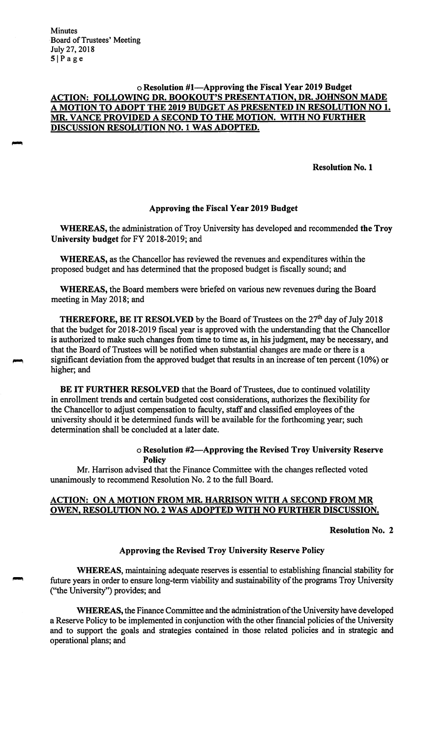**Minutes** Board of Trustees' Meeting July 27, 2018 SIPage

## o **Resolution #I-Approving the Fiscal Year 2019 Budget ACTION: FOLLOWING DR. BOOKOUT'S PRESENTATION, DR. JOHNSON MADE A MOTION TO ADOPT THE 2019 BUDGET AS PRESENTED IN RESOLUTION NO 1. MR. VANCE PROVIDED A SECOND TO THE MOTION. WITH NO FURTHER DISCUSSION RESOLUTION NO. 1 WAS ADOPTED.**

**Resolution No. 1** 

#### **Approving the Fiscal Year 2019 Budget**

**WHEREAS,** the administration of Troy University has developed and recommended **the Troy University budget** for FY 2018-2019; and

**WHEREAS,** as the Chancellor has reviewed the revenues and expenditures within the proposed budget and has determined that the proposed budget is fiscally sound; and

**WHEREAS,** the Board members were briefed on various new revenues during the Board meeting in May 2018; and

**THEREFORE, BE IT RESOLVED** by the Board of Trustees on the 27<sup>th</sup> day of July 2018 that the budget for 2018-2019 fiscal year is approved with the understanding that the Chancellor is authorized to make such changes from time to time as, in his judgment, may be necessary, and that the Board of Trustees will be notified when substantial changes are made or there is a significant deviation from the approved budget that results in an increase of ten percent (10%) or higher; and

**BE IT FURTHER RESOLVED** that the Board of Trustees, due to continued volatility in enrollment trends and certain budgeted cost considerations, authorizes the flexibility for the Chancellor to adjust compensation to faculty, staff and classified employees of the university should it be determined funds will be available for the forthcoming year; such determination shall be concluded at a later date.

#### o **Resolution #2-Approving the Revised Troy University Reserve Policy**

Mr. Harrison advised that the Finance Committee with the changes reflected voted unanimously to recommend Resolution No. 2 to the full Board.

## **ACTION: ON A MOTION FROM MR. HARRISON WITH A SECOND FROM MR OWEN, RESOLUTION NO. 2 WAS ADOPTED WITH NO FURTHER DISCUSSION.**

#### **Resolution No. 2**

## **Approving the Revised Troy University Reserve Policy**

**WHEREAS,** maintaining adequate reserves is essential to establishing financial stability for future years in order to ensure long-term viability and sustainability of the programs Troy University (''the University") provides; and

**WHEREAS,** the Finance Committee and the administration of the University have developed a Reserve Policy to be implemented in conjunction with the other financial policies of the University and to support the goals and strategies contained in those related policies and in strategic and operational plans; and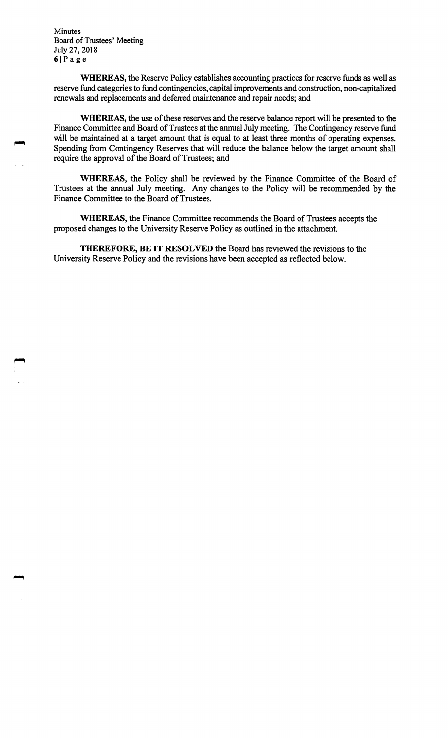**Minutes** Board of Trustees' Meeting July 27, 2018  $6|P$ age

**WHEREAS,** the Reserve Policy establishes accounting practices for reserve funds as well as reserve fund categories to fund contingencies, capital improvements and construction, non-capitalized renewals and replacements and deferred maintenance and repair needs; and

**WHEREAS,** the use of these reserves and the reserve balance report will be presented to the Finance Committee and Board of Trustees at the annual July meeting. The Contingency reserve fund will be maintained at a target amount that is equal to at least three months of operating expenses. Spending from Contingency Reserves that will reduce the balance below the target amount shall require the approval of the Board of Trustees; and

**WHEREAS,** the Policy shall be reviewed by the Finance Committee of the Board of Trustees at the annual July meeting. Any changes to the Policy will be recommended by the Finance Committee to the Board of Trustees.

**WHEREAS,** the Finance Committee recommends the Board of Trustees accepts the proposed changes to the University Reserve Policy as outlined in the attachment.

**THEREFORE, BE IT RESOLVED** the Board has reviewed the revisions to the University Reserve Policy and the revisions have been accepted as reflected below.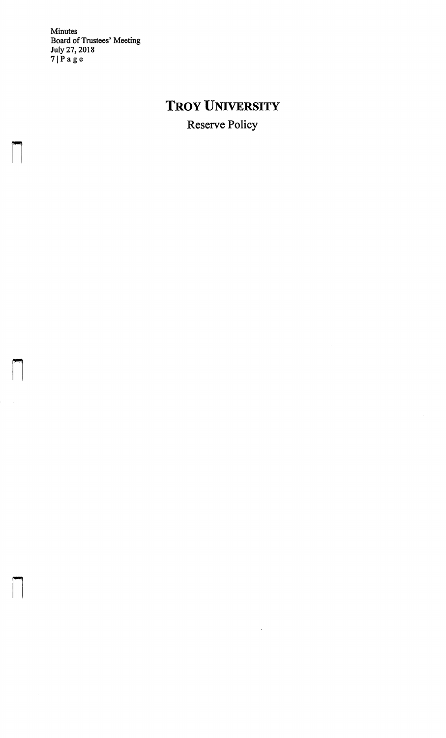Minutes Board of Trustees' Meeting July 27, 2018 71Page

n

n

n

# **TROY UNIVERSITY**

Reserve Policy

 $\langle \rangle$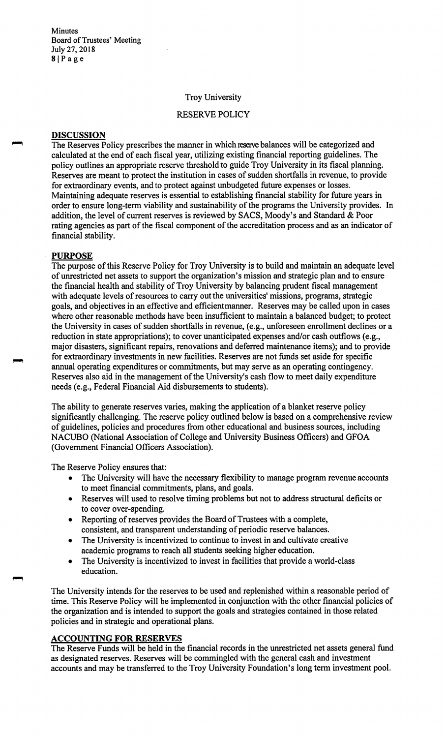**Minutes** Board of Trustees' Meeting July 27, 2018 8IPage

#### Troy University

## RESERVE POLICY

#### **DISCUSSION**

The Reserves Policy prescribes the manner in which reserve [ba](https://reseJ.Ve)lances will be categorized and calculated at the end of each fiscal year, utilizing existing financial reporting guidelines. The policy outlines an appropriate reserve threshold to guide Troy University in its fiscal planning. Reserves are meant to protect the institution in cases of sudden shortfalls in revenue, to provide for extraordinary events, and to protect against unbudgeted future expenses or losses. Maintaining adequate reserves is essential to establishing financial stability for future years in order to ensure long-term viability and sustainability of the programs the University provides. In addition, the level of current reserves is reviewed by SACS, Moody's and Standard & Poor rating agencies as part of the fiscal component of the accreditation process and as an indicator of financial stability.

#### **PURPOSE**

The purpose of this Reserve Policy for Troy University is to build and maintain an adequate level of unrestricted net assets to support the organization's mission and strategic plan and to ensure the financial health and stability of Troy University by balancing prudent fiscal management with adequate levels of resources to carry out the universities' missions, programs, strategic goals, and objectives in an effective and efficientmanner. Reserves may be called upon in cases where other reasonable methods have been insufficient to maintain a balanced budget; to protect the University in cases of sudden shortfalls in revenue, (e.g., unforeseen enrollment declines or a reduction in state appropriations); to cover unanticipated expenses and/or cash outflows (e.g., major disasters, significant repairs, renovations and deferred maintenance items); and to provide for extraordinary investments in new facilities. Reserves are not funds set aside for specific annual operating expenditures or commitments, but may serve as an operating contingency. Reserves also aid in the management of the University's cash flow to meet daily expenditure needs (e.g., Federal Financial Aid disbursements to students).

The ability to generate reserves varies, making the application of a blanket reserve policy significantly challenging. The reserve policy outlined below is based on a comprehensive review of guidelines, policies and procedures from other educational and business sources, including NACUBO (National Association of College and University Business Officers) and GFOA (Government Financial Officers Association).

The Reserve Policy ensures that:

- The University will have the necessary flexibility to manage program revenue accounts to meet financial commitments, plans, and goals.
- Reserves will used to resolve timing problems but not to address structural deficits or to cover over-spending.
- Reporting of reserves provides the Board of Trustees with a complete, consistent, and transparent understanding of periodic reserve balances.
- The University is incentivized to continue to invest in and cultivate creative academic programs to reach all students seeking higher education.
- The University is incentivized to invest in facilities that provide a world-class education.

The University intends for the reserves to be used and replenished within a reasonable period of time. This Reserve Policy will be implemented in conjunction with the other financial policies of the organization and is intended to support the goals and strategies contained in those related policies and in strategic and operational plans.

## **ACCOUNTING FOR RESERVES**

The Reserve Funds will be held in the financial records in the unrestricted net assets general fund as designated reserves. Reserves will be commingled with the general cash and investment accounts and may be transferred to the Troy University Foundation's long term investment pool.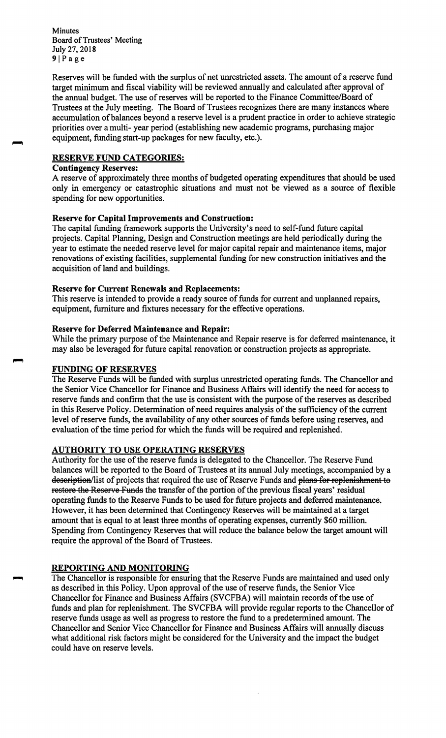**Minutes** Board of Trustees' Meeting July 27, 2018  $9|Page$ 

Reserves will be funded with the surplus of net unrestricted assets. The amount of a reserve fund target minimum and fiscal viability will be reviewed annually and calculated after approval of the annual budget. The use of reserves will be reported to the Finance Committee/Board of Trustees at the July meeting. The Board of Trustees recognizes there are many instances where accumulation of balances beyond a reserve level is a prudent practice in order to achieve strategic priorities over a multi- year period ( establishing new academic programs, purchasing major equipment, funding start-up packages for new faculty, etc.).

# **RESERVE FUND CATEGORIES:**

# **Contingency Reserves:**

A reserve of approximately three months of budgeted operating expenditures that should be used only in emergency or catastrophic situations and must not be viewed as a source of flexible spending for new opportunities.

## **Reserve for Capital Improvements and Construction:**

The capital funding framework supports the University's need to self-fund future capital projects. Capital Planning, Design and Construction meetings are held periodically during the year to estimate the needed reserve level for major capital repair and maintenance items, major renovations of existing facilities, supplemental funding for new construction initiatives and the acquisition of land and buildings.

## **Reserve for Current Renewals and Replacements:**

This reserve is intended to provide a ready source of funds for current and unplanned repairs, equipment, furniture and fixtures necessary for the effective operations.

## **Reserve for Deferred Maintenance and Repair:**

While the primary purpose of the Maintenance and Repair reserve is for deferred maintenance, it may also be leveraged for future capital renovation or construction projects as appropriate.

## **FUNDING OF RESERVES**

The Reserve Funds will be funded with surplus unrestricted operating funds. The Chancellor and the Senior Vice Chancellor for Finance and Business Affairs will identify the need for access to reserve funds and confirm that the use is consistent with the purpose of the reserves as described in this Reserve Policy. Determination of need requires analysis of the sufficiency of the current level of reserve funds, the availability of any other sources of funds before using reserves, and evaluation of the time period for which the funds will be required and replenished.

# **AUTHORITY TO USE OPERATING RESERVES**

Authority for the use of the reserve funds is delegated to the Chancellor. The Reserve Fund balances will be reported to the Board of Trustees at its annual July meetings, accompanied by a description/list of projects that required the use of Reserve Funds and plans for replenishment to restore the Reserve Funds the transfer of the portion of the previous fiscal years' residual operating funds to the Reserve Funds to be used for future projects and deferred maintenance. However, it has been determined that Contingency Reserves will be maintained at a target amount that is equal to at least three months of operating expenses, currently \$60 million. Spending from Contingency Reserves that will reduce the balance below the target amount will require the approval of the Board of Trustees.

## **REPORTING AND MONITORING**

The Chancellor is responsible for ensuring that the Reserve Funds are maintained and used only as described in this Policy. Upon approval of the use of reserve funds, the Senior Vice Chancellor for Finance and Business Affairs (SVCFBA) will maintain records of the use of funds and plan for replenishment. The SVCFBA will provide regular reports to the Chancellor of reserve funds usage as well as progress to restore the fund to a predetermined amount. The Chancellor and Senior Vice Chancellor for Finance and Business Affairs will annually discuss what additional risk factors might be considered for the University and the impact the budget could have on reserve levels.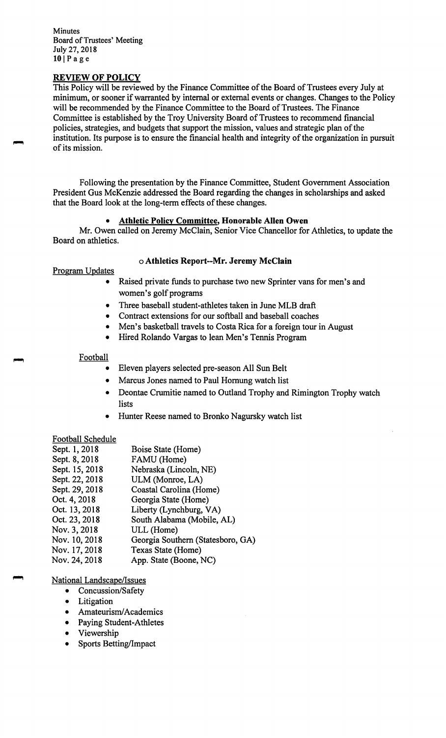**Minutes** Board of Trustees' Meeting July 27, 2018 **10** IPage

## **REVIEW OF POLICY**

This Policy will be reviewed by the Finance Committee of the Board of Trustees every July at minimum, or sooner if warranted by internal or external events or changes. Changes to the Policy will be recommended by the Finance Committee to the Board of Trustees. The Finance Committee is established by the Troy University Board of Trustees to recommend financial policies, strategies, and budgets that support the mission, values and strategic plan of the institution. Its purpose is to ensure the financial health and integrity of the organization in pursuit of its mission.

Following the presentation by the Finance Committee, Student Government Association President Gus McKenzie addressed the Board regarding the changes in scholarships and asked that the Board look at the long-term effects of these changes.

# • **Athletic Policy Committee, Honorable Allen Owen**

Mr. Owen called on Jeremy McClain, Senior Vice Chancellor for Athletics, to update the Board on athletics.

#### o **Athletics Report--Mr. Jeremy McClain**

Program Updates

- Raised private funds to purchase two new Sprinter vans for men's and women's golf programs
- Three baseball student-athletes taken in June MLB draft
- Contract extensions for our softball and baseball coaches
- Men's basketball travels to Costa Rica for a foreign tour in August
- Hired Rolando Vargas to lean Men's Tennis Program

#### Football

- Eleven players selected pre-season All Sun Belt
- Marcus Jones named to Paul Hornung watch list
- Deontae Crumitie named to Outland Trophy and Rimington Trophy watch lists
- Hunter Reese named to Bronko Nagursky watch list

## Football Schedule

| Sept. 1, 2018  | Boise State (Home)                |
|----------------|-----------------------------------|
| Sept. 8, 2018  | FAMU (Home)                       |
| Sept. 15, 2018 | Nebraska (Lincoln, NE)            |
| Sept. 22, 2018 | ULM (Monroe, LA)                  |
| Sept. 29, 2018 | Coastal Carolina (Home)           |
| Oct. 4, 2018   | Georgia State (Home)              |
| Oct. 13, 2018  | Liberty (Lynchburg, VA)           |
| Oct. 23, 2018  | South Alabama (Mobile, AL)        |
| Nov. 3, 2018   | ULL (Home)                        |
| Nov. 10, 2018  | Georgia Southern (Statesboro, GA) |
| Nov. 17, 2018  | Texas State (Home)                |
| Nov. 24, 2018  | App. State (Boone, NC)            |

# National Landscape/Issues

- Concussion/Safety
- Litigation
- Amateurism/Academics
- Paying Student-Athletes
- Viewership
- Sports Betting/Impact